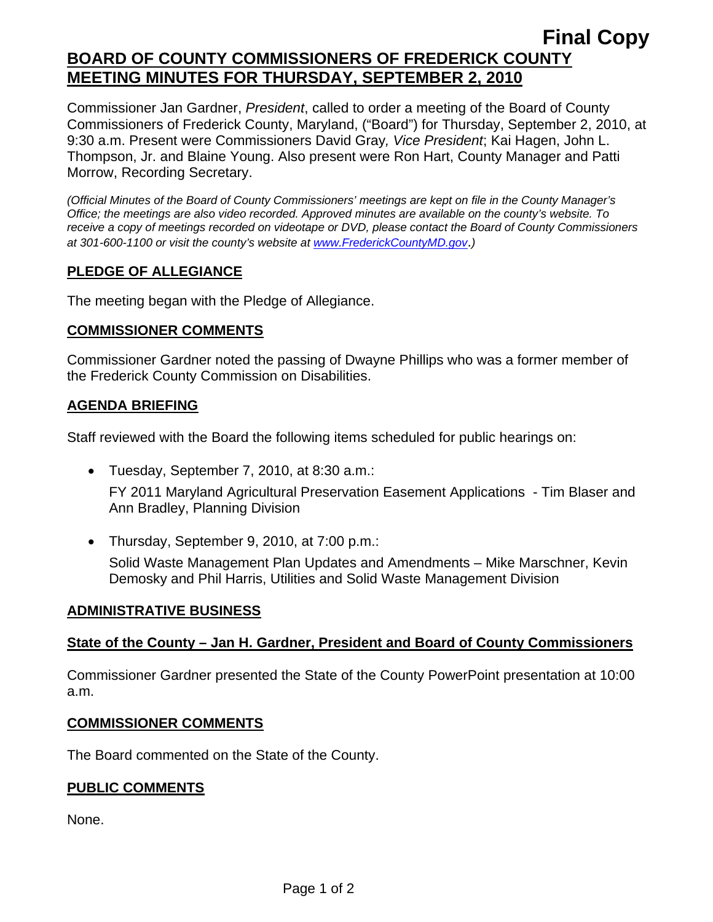# **Final Copy BOARD OF COUNTY COMMISSIONERS OF FREDERICK COUNTY MEETING MINUTES FOR THURSDAY, SEPTEMBER 2, 2010**

Commissioner Jan Gardner, *President*, called to order a meeting of the Board of County Commissioners of Frederick County, Maryland, ("Board") for Thursday, September 2, 2010, at 9:30 a.m. Present were Commissioners David Gray*, Vice President*; Kai Hagen, John L. Thompson, Jr. and Blaine Young. Also present were Ron Hart, County Manager and Patti Morrow, Recording Secretary.

*(Official Minutes of the Board of County Commissioners' meetings are kept on file in the County Manager's Office; the meetings are also video recorded. Approved minutes are available on the county's website. To receive a copy of meetings recorded on videotape or DVD, please contact the Board of County Commissioners at 301-600-1100 or visit the county's website at [www.FrederickCountyMD.gov](http://www.frederickcountymd.gov/)*.*)* 

# **PLEDGE OF ALLEGIANCE**

The meeting began with the Pledge of Allegiance.

#### **COMMISSIONER COMMENTS**

Commissioner Gardner noted the passing of Dwayne Phillips who was a former member of the Frederick County Commission on Disabilities.

# **AGENDA BRIEFING**

Staff reviewed with the Board the following items scheduled for public hearings on:

- Tuesday, September 7, 2010, at 8:30 a.m.: FY 2011 Maryland Agricultural Preservation Easement Applications - Tim Blaser and Ann Bradley, Planning Division
- Thursday, September 9, 2010, at 7:00 p.m.: Solid Waste Management Plan Updates and Amendments – Mike Marschner, Kevin Demosky and Phil Harris, Utilities and Solid Waste Management Division

# **ADMINISTRATIVE BUSINESS**

# **State of the County – Jan H. Gardner, President and Board of County Commissioners**

Commissioner Gardner presented the State of the County PowerPoint presentation at 10:00 a.m.

#### **COMMISSIONER COMMENTS**

The Board commented on the State of the County.

# **PUBLIC COMMENTS**

None.